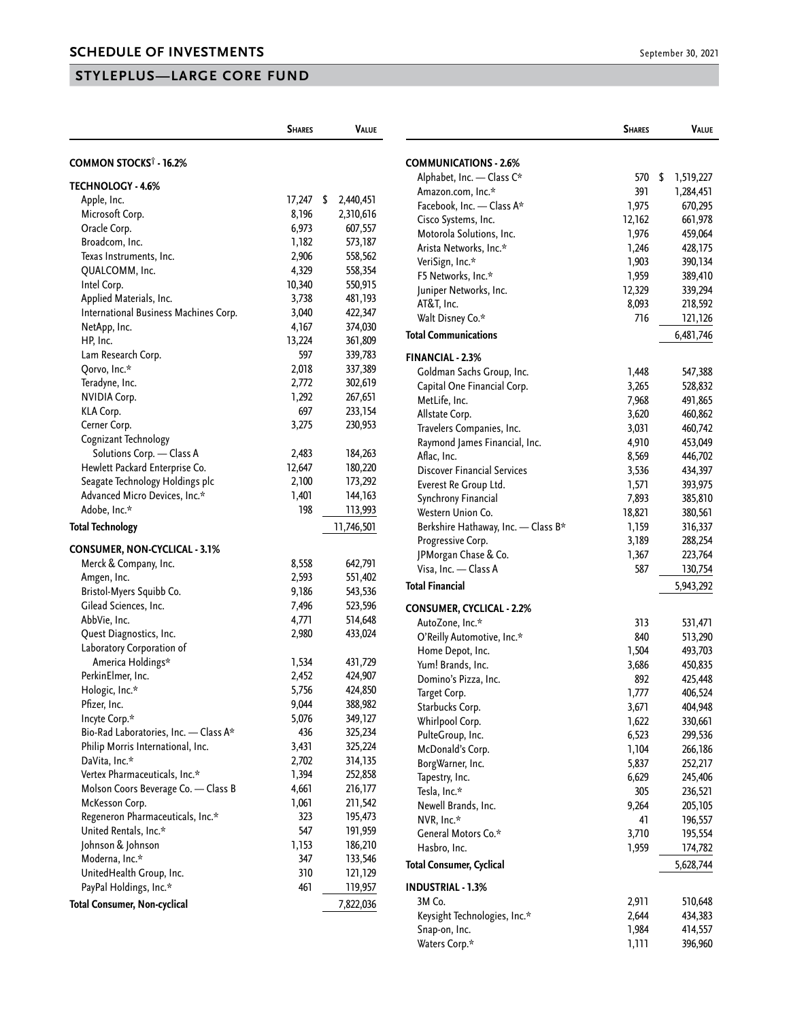## **STYLEPLUS—LARGE CORE FUND**

|                                       | <b>SHARES</b> | VALUE           |
|---------------------------------------|---------------|-----------------|
|                                       |               |                 |
| COMMON STOCKS <sup>†</sup> - 16.2%    |               |                 |
| <b>TECHNOLOGY - 4.6%</b>              |               |                 |
| Apple, Inc.                           | 17,247        | \$<br>2,440,451 |
| Microsoft Corp.                       | 8,196         | 2,310,616       |
| Oracle Corp.                          | 6,973         | 607,557         |
| Broadcom, Inc.                        | 1,182         | 573,187         |
| Texas Instruments, Inc.               | 2,906         | 558,562         |
| QUALCOMM, Inc.                        | 4,329         | 558,354         |
| Intel Corp.                           | 10,340        | 550,915         |
| Applied Materials, Inc.               | 3,738         | 481,193         |
| International Business Machines Corp. | 3,040         | 422,347         |
| NetApp, Inc.                          | 4,167         | 374,030         |
| HP, Inc.                              | 13,224        | 361,809         |
| Lam Research Corp.                    | 597           | 339,783         |
| Qorvo, Inc.*                          | 2,018         | 337,389         |
| Teradyne, Inc.                        | 2,772         | 302,619         |
| <b>NVIDIA Corp.</b>                   | 1,292         | 267,651         |
| KLA Corp.                             | 697           | 233,154         |
| Cerner Corp.                          | 3,275         | 230,953         |
| Cognizant Technology                  |               |                 |
| Solutions Corp. - Class A             | 2,483         | 184,263         |
| Hewlett Packard Enterprise Co.        | 12,647        | 180,220         |
| Seagate Technology Holdings plc       | 2,100         | 173,292         |
| Advanced Micro Devices, Inc.*         | 1,401         | 144,163         |
| Adobe, Inc.*                          | 198           | 113,993         |
| <b>Total Technology</b>               |               | 11,746,501      |
| <b>CONSUMER, NON-CYCLICAL - 3.1%</b>  |               |                 |
| Merck & Company, Inc.                 | 8,558         | 642,791         |
| Amgen, Inc.                           | 2,593         | 551,402         |
| Bristol-Myers Squibb Co.              | 9,186         | 543,536         |
| Gilead Sciences, Inc.                 | 7,496         | 523,596         |
| AbbVie, Inc.                          | 4,771         | 514,648         |
| Quest Diagnostics, Inc.               | 2,980         | 433,024         |
| Laboratory Corporation of             |               |                 |
| America Holdings*                     | 1,534         | 431,729         |
| PerkinElmer, Inc.                     | 2,452         | 424,907         |
| Hologic, Inc.*                        | 5,756         | 424,850         |
| Pfizer, Inc.                          | 9,044         | 388,982         |
| Incyte Corp.*                         | 5,076         | 349,127         |
| Bio-Rad Laboratories, Inc. - Class A* | 436           | 325,234         |
| Philip Morris International, Inc.     | 3,431         | 325,224         |
| DaVita, Inc.*                         | 2,702         | 314,135         |
| Vertex Pharmaceuticals, Inc.*         | 1,394         | 252,858         |
| Molson Coors Beverage Co. - Class B   | 4,661         | 216,177         |
| McKesson Corp.                        | 1,061         | 211,542         |
| Regeneron Pharmaceuticals, Inc.*      | 323           | 195,473         |
| United Rentals, Inc.*                 | 547           | 191,959         |
| Johnson & Johnson                     | 1,153         | 186,210         |
| Moderna, Inc.*                        | 347           | 133,546         |
| UnitedHealth Group, Inc.              | 310           | 121,129         |
| PayPal Holdings, Inc.*                | 461           | 119,957         |
| <b>Total Consumer, Non-cyclical</b>   |               | 7,822,036       |

|                                                | <b>SHARES</b>  | Value                |
|------------------------------------------------|----------------|----------------------|
| <b>COMMUNICATIONS - 2.6%</b>                   |                |                      |
| Alphabet, Inc. - Class C*                      | 570            | \$<br>1,519,227      |
| Amazon.com, Inc.*                              | 391            | 1,284,451            |
| Facebook, Inc. - Class A*                      | 1,975          | 670,295              |
| Cisco Systems, Inc.                            | 12,162         | 661,978              |
| Motorola Solutions, Inc.                       | 1,976          | 459,064              |
| Arista Networks, Inc.*                         | 1,246          | 428,175              |
| VeriSign, Inc.*                                | 1,903          | 390,134              |
| F5 Networks, Inc.*                             | 1,959          | 389,410              |
| Juniper Networks, Inc.                         | 12,329         | 339,294              |
| AT&T, Inc.                                     | 8,093          | 218,592              |
| Walt Disney Co.*                               | 716            | 121,126              |
| <b>Total Communications</b>                    |                | 6,481,746            |
| <b>FINANCIAL - 2.3%</b>                        |                |                      |
| Goldman Sachs Group, Inc.                      | 1,448          | 547,388              |
| Capital One Financial Corp.                    | 3,265          | 528,832              |
| MetLife, Inc.                                  | 7,968          | 491,865              |
| Allstate Corp.                                 | 3,620          | 460,862              |
| Travelers Companies, Inc.                      | 3,031          | 460,742              |
| Raymond James Financial, Inc.                  | 4,910          | 453,049              |
| Aflac, Inc.                                    | 8,569          | 446,702              |
| <b>Discover Financial Services</b>             | 3,536          | 434,397              |
| Everest Re Group Ltd.                          | 1,571          | 393,975              |
| Synchrony Financial                            | 7,893          | 385,810              |
| Western Union Co.                              | 18,821         | 380,561              |
| Berkshire Hathaway, Inc. - Class B*            | 1,159          | 316,337              |
| Progressive Corp.                              | 3,189          | 288,254              |
| JPMorgan Chase & Co.                           | 1,367          | 223,764              |
| Visa, Inc. - Class A<br><b>Total Financial</b> | 587            | 130,754<br>5,943,292 |
|                                                |                |                      |
| <b>CONSUMER, CYCLICAL - 2.2%</b>               |                |                      |
| AutoZone, Inc.*                                | 313            | 531,471              |
| O'Reilly Automotive, Inc.*                     | 840            | 513,290              |
| Home Depot, Inc.                               | 1,504          | 493,703              |
| Yum! Brands, Inc.                              | 3,686          | 450,835              |
| Domino's Pizza, Inc.<br>Target Corp.           | 892            | 425,448<br>406,524   |
| Starbucks Corp.                                | 1,777<br>3,671 | 404,948              |
| Whirlpool Corp.                                | 1,622          | 330,661              |
| PulteGroup, Inc.                               | 6,523          | 299,536              |
| McDonald's Corp.                               | 1,104          | 266,186              |
| BorgWarner, Inc.                               | 5,837          | 252,217              |
| Tapestry, Inc.                                 | 6,629          | 245,406              |
| Tesla, Inc.*                                   | 305            | 236,521              |
| Newell Brands, Inc.                            | 9,264          | 205,105              |
| NVR, Inc.*                                     | 41             | 196,557              |
| General Motors Co.*                            | 3,710          | 195,554              |
| Hasbro, Inc.                                   | 1,959          | 174,782              |
| <b>Total Consumer, Cyclical</b>                |                | 5,628,744            |
| <b>INDUSTRIAL - 1.3%</b>                       |                |                      |
| 3M Co.                                         | 2,911          | 510,648              |
| Keysight Technologies, Inc.*                   | 2,644          | 434,383              |
| Snap-on, Inc.                                  | 1,984          | 414,557              |
| Waters Corp.*                                  | 1,111          | 396,960              |